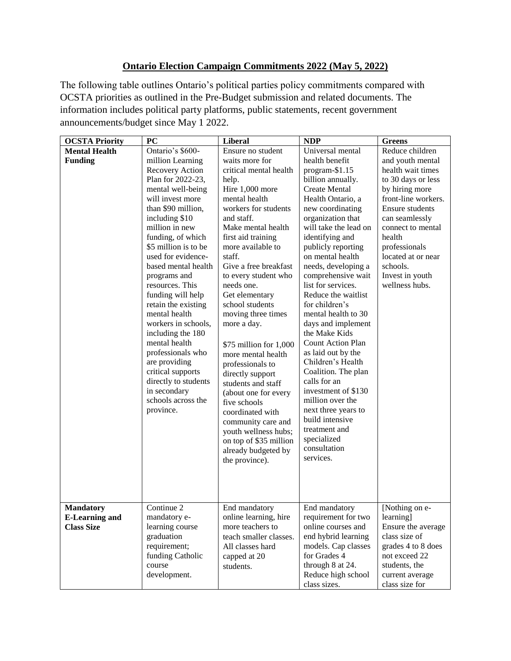## **Ontario Election Campaign Commitments 2022 (May 5, 2022)**

The following table outlines Ontario's political parties policy commitments compared with OCSTA priorities as outlined in the Pre-Budget submission and related documents. The information includes political party platforms, public statements, recent government announcements/budget since May 1 2022.

| <b>OCSTA Priority</b> | PC                                 | <b>Liberal</b>         | <b>NDP</b>                              | <b>Greens</b>          |
|-----------------------|------------------------------------|------------------------|-----------------------------------------|------------------------|
| <b>Mental Health</b>  | Ontario's \$600-                   | Ensure no student      | Universal mental                        | Reduce children        |
| <b>Funding</b>        | million Learning                   | waits more for         | health benefit                          | and youth mental       |
|                       | <b>Recovery Action</b>             | critical mental health | program-\$1.15                          | health wait times      |
|                       | Plan for 2022-23,                  | help.                  | billion annually.                       | to 30 days or less     |
|                       | mental well-being                  | Hire 1,000 more        | <b>Create Mental</b>                    | by hiring more         |
|                       | will invest more                   | mental health          | Health Ontario, a                       | front-line workers.    |
|                       | than \$90 million,                 | workers for students   | new coordinating                        | <b>Ensure students</b> |
|                       | including \$10                     | and staff.             | organization that                       | can seamlessly         |
|                       | million in new                     | Make mental health     | will take the lead on                   | connect to mental      |
|                       | funding, of which                  | first aid training     | identifying and                         | health                 |
|                       | \$5 million is to be               | more available to      | publicly reporting                      | professionals          |
|                       | used for evidence-                 | staff.                 | on mental health                        | located at or near     |
|                       | based mental health                | Give a free breakfast  | needs, developing a                     | schools.               |
|                       | programs and                       | to every student who   | comprehensive wait                      | Invest in youth        |
|                       | resources. This                    | needs one.             | list for services.                      | wellness hubs.         |
|                       | funding will help                  | Get elementary         | Reduce the waitlist                     |                        |
|                       | retain the existing                | school students        | for children's                          |                        |
|                       | mental health                      | moving three times     | mental health to 30                     |                        |
|                       | workers in schools,                | more a day.            | days and implement                      |                        |
|                       | including the 180                  |                        | the Make Kids                           |                        |
|                       | mental health                      | \$75 million for 1,000 | Count Action Plan                       |                        |
|                       | professionals who<br>are providing | more mental health     | as laid out by the<br>Children's Health |                        |
|                       | critical supports                  | professionals to       | Coalition. The plan                     |                        |
|                       | directly to students               | directly support       | calls for an                            |                        |
|                       | in secondary                       | students and staff     | investment of \$130                     |                        |
|                       | schools across the                 | (about one for every   | million over the                        |                        |
|                       | province.                          | five schools           | next three years to                     |                        |
|                       |                                    | coordinated with       | build intensive                         |                        |
|                       |                                    | community care and     | treatment and                           |                        |
|                       |                                    | youth wellness hubs;   | specialized                             |                        |
|                       |                                    | on top of \$35 million | consultation                            |                        |
|                       |                                    | already budgeted by    | services.                               |                        |
|                       |                                    | the province).         |                                         |                        |
|                       |                                    |                        |                                         |                        |
|                       |                                    |                        |                                         |                        |
|                       |                                    |                        |                                         |                        |
| <b>Mandatory</b>      | Continue 2                         | End mandatory          | End mandatory                           | [Nothing on e-         |
| <b>E-Learning and</b> | mandatory e-                       | online learning, hire  | requirement for two                     | learning]              |
| <b>Class Size</b>     | learning course                    | more teachers to       | online courses and                      | Ensure the average     |
|                       | graduation                         | teach smaller classes. | end hybrid learning                     | class size of          |
|                       | requirement;                       | All classes hard       | models. Cap classes                     | grades 4 to 8 does     |
|                       | funding Catholic                   | capped at 20           | for Grades 4                            | not exceed 22          |
|                       | course                             | students.              | through 8 at 24.                        | students, the          |
|                       | development.                       |                        | Reduce high school                      | current average        |
|                       |                                    |                        | class sizes.                            | class size for         |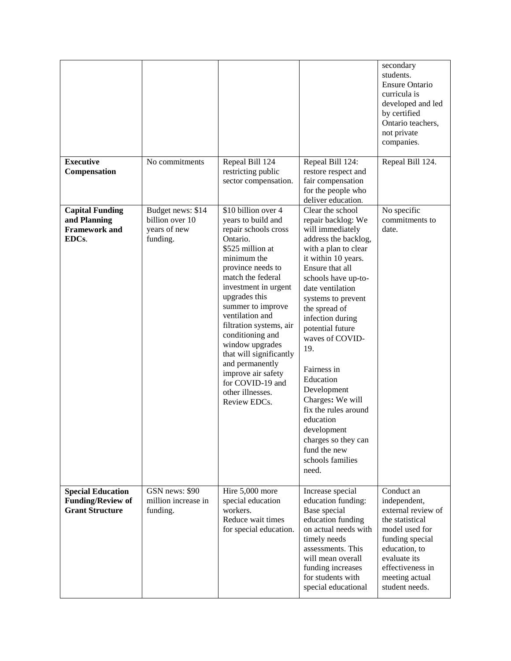|                                                                                |                                                                  |                                                                                                                                                                                                                                                                                                                                                                                                                                           |                                                                                                                                                                                                                                                                                                                                                                                                                                                                                                 | secondary<br>students.<br><b>Ensure Ontario</b><br>curricula is<br>developed and led<br>by certified<br>Ontario teachers,<br>not private<br>companies.                                            |
|--------------------------------------------------------------------------------|------------------------------------------------------------------|-------------------------------------------------------------------------------------------------------------------------------------------------------------------------------------------------------------------------------------------------------------------------------------------------------------------------------------------------------------------------------------------------------------------------------------------|-------------------------------------------------------------------------------------------------------------------------------------------------------------------------------------------------------------------------------------------------------------------------------------------------------------------------------------------------------------------------------------------------------------------------------------------------------------------------------------------------|---------------------------------------------------------------------------------------------------------------------------------------------------------------------------------------------------|
| <b>Executive</b><br>Compensation                                               | No commitments                                                   | Repeal Bill 124<br>restricting public<br>sector compensation.                                                                                                                                                                                                                                                                                                                                                                             | Repeal Bill 124:<br>restore respect and<br>fair compensation<br>for the people who<br>deliver education.                                                                                                                                                                                                                                                                                                                                                                                        | Repeal Bill 124.                                                                                                                                                                                  |
| <b>Capital Funding</b><br>and Planning<br><b>Framework and</b><br>EDCs.        | Budget news: \$14<br>billion over 10<br>years of new<br>funding. | \$10 billion over 4<br>years to build and<br>repair schools cross<br>Ontario.<br>\$525 million at<br>minimum the<br>province needs to<br>match the federal<br>investment in urgent<br>upgrades this<br>summer to improve<br>ventilation and<br>filtration systems, air<br>conditioning and<br>window upgrades<br>that will significantly<br>and permanently<br>improve air safety<br>for COVID-19 and<br>other illnesses.<br>Review EDCs. | Clear the school<br>repair backlog: We<br>will immediately<br>address the backlog,<br>with a plan to clear<br>it within 10 years.<br>Ensure that all<br>schools have up-to-<br>date ventilation<br>systems to prevent<br>the spread of<br>infection during<br>potential future<br>waves of COVID-<br>19.<br>Fairness in<br>Education<br>Development<br>Charges: We will<br>fix the rules around<br>education<br>development<br>charges so they can<br>fund the new<br>schools families<br>need. | No specific<br>commitments to<br>date.                                                                                                                                                            |
| <b>Special Education</b><br><b>Funding/Review of</b><br><b>Grant Structure</b> | GSN news: \$90<br>million increase in<br>funding.                | Hire 5,000 more<br>special education<br>workers.<br>Reduce wait times<br>for special education.                                                                                                                                                                                                                                                                                                                                           | Increase special<br>education funding:<br>Base special<br>education funding<br>on actual needs with<br>timely needs<br>assessments. This<br>will mean overall<br>funding increases<br>for students with<br>special educational                                                                                                                                                                                                                                                                  | Conduct an<br>independent,<br>external review of<br>the statistical<br>model used for<br>funding special<br>education, to<br>evaluate its<br>effectiveness in<br>meeting actual<br>student needs. |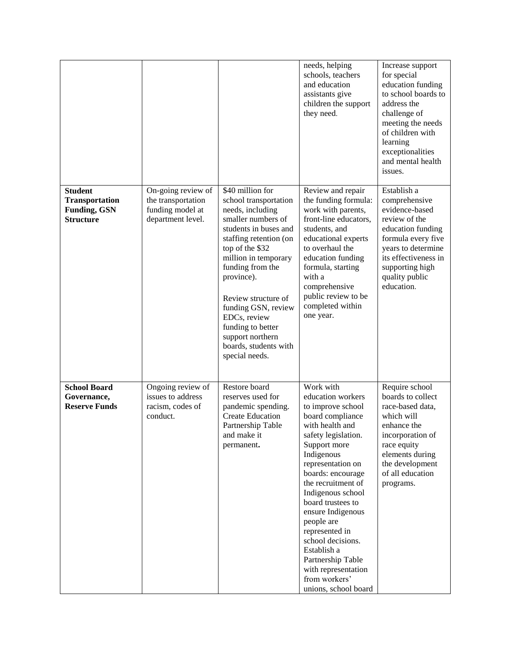|                                                                                    |                                                                                   |                                                                                                                                                                                                                                                                                                                                                                       | needs, helping<br>schools, teachers<br>and education<br>assistants give<br>children the support<br>they need.                                                                                                                                                                                                                                                                                                                           | Increase support<br>for special<br>education funding<br>to school boards to<br>address the<br>challenge of<br>meeting the needs<br>of children with<br>learning<br>exceptionalities<br>and mental health<br>issues. |
|------------------------------------------------------------------------------------|-----------------------------------------------------------------------------------|-----------------------------------------------------------------------------------------------------------------------------------------------------------------------------------------------------------------------------------------------------------------------------------------------------------------------------------------------------------------------|-----------------------------------------------------------------------------------------------------------------------------------------------------------------------------------------------------------------------------------------------------------------------------------------------------------------------------------------------------------------------------------------------------------------------------------------|---------------------------------------------------------------------------------------------------------------------------------------------------------------------------------------------------------------------|
| <b>Student</b><br><b>Transportation</b><br><b>Funding, GSN</b><br><b>Structure</b> | On-going review of<br>the transportation<br>funding model at<br>department level. | \$40 million for<br>school transportation<br>needs, including<br>smaller numbers of<br>students in buses and<br>staffing retention (on<br>top of the \$32<br>million in temporary<br>funding from the<br>province).<br>Review structure of<br>funding GSN, review<br>EDCs, review<br>funding to better<br>support northern<br>boards, students with<br>special needs. | Review and repair<br>the funding formula:<br>work with parents,<br>front-line educators,<br>students, and<br>educational experts<br>to overhaul the<br>education funding<br>formula, starting<br>with a<br>comprehensive<br>public review to be<br>completed within<br>one year.                                                                                                                                                        | Establish a<br>comprehensive<br>evidence-based<br>review of the<br>education funding<br>formula every five<br>years to determine<br>its effectiveness in<br>supporting high<br>quality public<br>education.         |
| <b>School Board</b><br>Governance,<br><b>Reserve Funds</b>                         | Ongoing review of<br>issues to address<br>racism, codes of<br>conduct.            | Restore board<br>reserves used for<br>pandemic spending.<br><b>Create Education</b><br>Partnership Table<br>and make it<br>permanent.                                                                                                                                                                                                                                 | Work with<br>education workers<br>to improve school<br>board compliance<br>with health and<br>safety legislation.<br>Support more<br>Indigenous<br>representation on<br>boards: encourage<br>the recruitment of<br>Indigenous school<br>board trustees to<br>ensure Indigenous<br>people are<br>represented in<br>school decisions.<br>Establish a<br>Partnership Table<br>with representation<br>from workers'<br>unions, school board | Require school<br>boards to collect<br>race-based data,<br>which will<br>enhance the<br>incorporation of<br>race equity<br>elements during<br>the development<br>of all education<br>programs.                      |